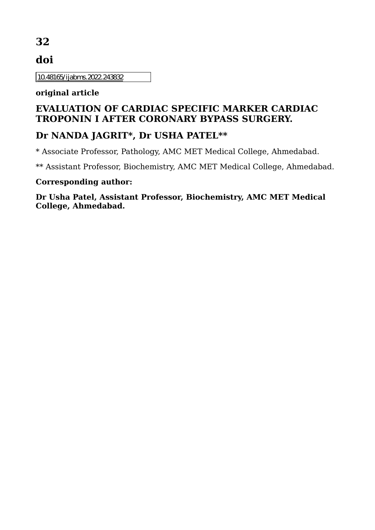# **32**

# **doi**

10.48165/ijabms.2022.243832

#### **original article**

## **EVALUATION OF CARDIAC SPECIFIC MARKER CARDIAC TROPONIN I AFTER CORONARY BYPASS SURGERY.**

## **Dr NANDA JAGRIT\*, Dr USHA PATEL\*\***

\* Associate Professor, Pathology, AMC MET Medical College, Ahmedabad.

\*\* Assistant Professor, Biochemistry, AMC MET Medical College, Ahmedabad.

#### **Corresponding author:**

**Dr Usha Patel, Assistant Professor, Biochemistry, AMC MET Medical College, Ahmedabad.**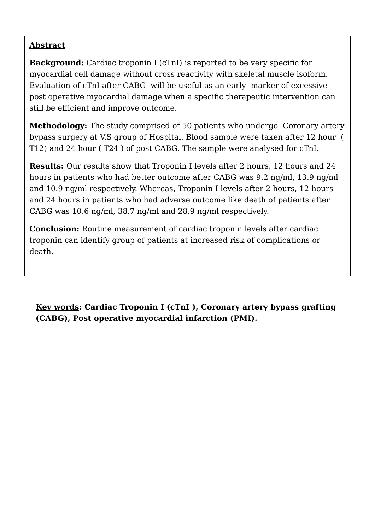### **Abstract**

**Background:** Cardiac troponin I (cTnI) is reported to be very specific for myocardial cell damage without cross reactivity with skeletal muscle isoform. Evaluation of cTnI after CABG will be useful as an early marker of excessive post operative myocardial damage when a specific therapeutic intervention can still be efficient and improve outcome.

**Methodology:** The study comprised of 50 patients who undergo Coronary artery bypass surgery at V.S group of Hospital. Blood sample were taken after 12 hour ( T12) and 24 hour ( T24 ) of post CABG. The sample were analysed for cTnI.

**Results:** Our results show that Troponin I levels after 2 hours, 12 hours and 24 hours in patients who had better outcome after CABG was 9.2 ng/ml, 13.9 ng/ml and 10.9 ng/ml respectively. Whereas, Troponin I levels after 2 hours, 12 hours and 24 hours in patients who had adverse outcome like death of patients after CABG was 10.6 ng/ml, 38.7 ng/ml and 28.9 ng/ml respectively.

**Conclusion:** Routine measurement of cardiac troponin levels after cardiac troponin can identify group of patients at increased risk of complications or death.

**Key words: Cardiac Troponin I (cTnI ), Coronary artery bypass grafting (CABG), Post operative myocardial infarction (PMI).**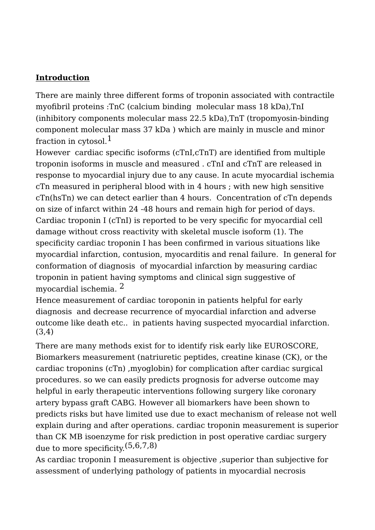#### **Introduction**

There are mainly three different forms of troponin associated with contractile myofibril proteins :TnC (calcium binding molecular mass 18 kDa),TnI (inhibitory components molecular mass 22.5 kDa),TnT (tropomyosin-binding component molecular mass 37 kDa ) which are mainly in muscle and minor fraction in cytosol. $<sup>1</sup>$ </sup>

However cardiac specific isoforms (cTnI,cTnT) are identified from multiple troponin isoforms in muscle and measured . cTnI and cTnT are released in response to myocardial injury due to any cause. In acute myocardial ischemia cTn measured in peripheral blood with in 4 hours ; with new high sensitive cTn(hsTn) we can detect earlier than 4 hours. Concentration of cTn depends on size of infarct within 24 -48 hours and remain high for period of days. Cardiac troponin I (cTnI) is reported to be very specific for myocardial cell damage without cross reactivity with skeletal muscle isoform (1). The specificity cardiac troponin I has been confirmed in various situations like myocardial infarction, contusion, myocarditis and renal failure. In general for conformation of diagnosis of myocardial infarction by measuring cardiac troponin in patient having symptoms and clinical sign suggestive of myocardial ischemia. 2

Hence measurement of cardiac toroponin in patients helpful for early diagnosis and decrease recurrence of myocardial infarction and adverse outcome like death etc.. in patients having suspected myocardial infarction. (3,4)

There are many methods exist for to identify risk early like EUROSCORE, Biomarkers measurement (natriuretic peptides, creatine kinase (CK), or the cardiac troponins (cTn) ,myoglobin) for complication after cardiac surgical procedures. so we can easily predicts prognosis for adverse outcome may helpful in early therapeutic interventions following surgery like coronary artery bypass graft CABG. However all biomarkers have been shown to predicts risks but have limited use due to exact mechanism of release not well explain during and after operations. cardiac troponin measurement is superior than CK MB isoenzyme for risk prediction in post operative cardiac surgery due to more specificity.(5,6,7,8)

As cardiac troponin I measurement is objective ,superior than subjective for assessment of underlying pathology of patients in myocardial necrosis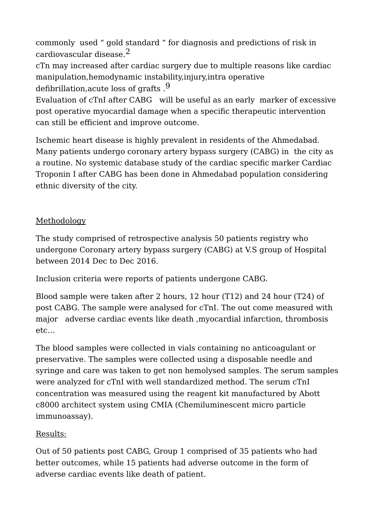commonly used " gold standard " for diagnosis and predictions of risk in cardiovascular disease.2

cTn may increased after cardiac surgery due to multiple reasons like cardiac manipulation,hemodynamic instability,injury,intra operative defibrillation, acute loss of grafts .<sup>9</sup>

Evaluation of cTnI after CABG will be useful as an early marker of excessive post operative myocardial damage when a specific therapeutic intervention can still be efficient and improve outcome.

Ischemic heart disease is highly prevalent in residents of the Ahmedabad. Many patients undergo coronary artery bypass surgery (CABG) in the city as a routine. No systemic database study of the cardiac specific marker Cardiac Troponin I after CABG has been done in Ahmedabad population considering ethnic diversity of the city.

### **Methodology**

The study comprised of retrospective analysis 50 patients registry who undergone Coronary artery bypass surgery (CABG) at V.S group of Hospital between 2014 Dec to Dec 2016.

Inclusion criteria were reports of patients undergone CABG.

Blood sample were taken after 2 hours, 12 hour (T12) and 24 hour (T24) of post CABG. The sample were analysed for cTnI. The out come measured with major adverse cardiac events like death ,myocardial infarction, thrombosis etc…

The blood samples were collected in vials containing no anticoagulant or preservative. The samples were collected using a disposable needle and syringe and care was taken to get non hemolysed samples. The serum samples were analyzed for cTnI with well standardized method. The serum cTnI concentration was measured using the reagent kit manufactured by Abott c8000 architect system using CMIA (Chemiluminescent micro particle immunoassay).

## Results:

Out of 50 patients post CABG, Group 1 comprised of 35 patients who had better outcomes, while 15 patients had adverse outcome in the form of adverse cardiac events like death of patient.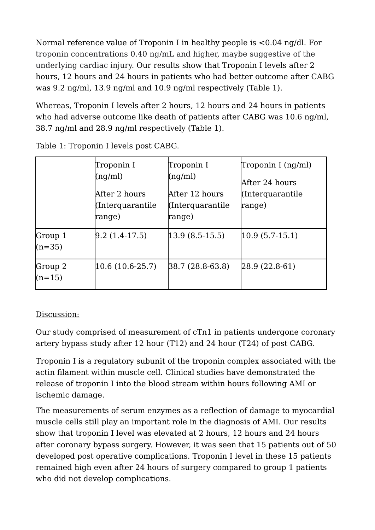Normal reference value of Troponin I in healthy people is <0.04 ng/dl. For troponin concentrations 0.40 ng/mL and higher, maybe suggestive of the underlying cardiac injury. Our results show that Troponin I levels after 2 hours, 12 hours and 24 hours in patients who had better outcome after CABG was 9.2 ng/ml, 13.9 ng/ml and 10.9 ng/ml respectively (Table 1).

Whereas, Troponin I levels after 2 hours, 12 hours and 24 hours in patients who had adverse outcome like death of patients after CABG was 10.6 ng/ml. 38.7 ng/ml and 28.9 ng/ml respectively (Table 1).

|                     | Troponin I<br>(ng/ml)<br>After 2 hours<br>(Interquarantile<br>range) | Troponin I<br>(ng/ml)<br>After 12 hours<br>(Interquarantile<br>range) | Troponin I (ng/ml)<br>After 24 hours<br>(Interquarantile<br>range) |
|---------------------|----------------------------------------------------------------------|-----------------------------------------------------------------------|--------------------------------------------------------------------|
| Group 1<br>$(n=35)$ | $[9.2 (1.4-17.5)]$                                                   | $ 13.9(8.5-15.5) $                                                    | $ 10.9(5.7-15.1) $                                                 |
| Group 2<br>$(n=15)$ | $10.6(10.6-25.7)$                                                    | 38.7 (28.8-63.8)                                                      | $[28.9 (22.8-61)]$                                                 |

Table 1: Troponin I levels post CABG.

## Discussion:

Our study comprised of measurement of cTn1 in patients undergone coronary artery bypass study after 12 hour (T12) and 24 hour (T24) of post CABG.

Troponin I is a regulatory subunit of the troponin complex associated with the actin filament within muscle cell. Clinical studies have demonstrated the release of troponin I into the blood stream within hours following AMI or ischemic damage.

The measurements of serum enzymes as a reflection of damage to myocardial muscle cells still play an important role in the diagnosis of AMI. Our results show that troponin I level was elevated at 2 hours, 12 hours and 24 hours after coronary bypass surgery. However, it was seen that 15 patients out of 50 developed post operative complications. Troponin I level in these 15 patients remained high even after 24 hours of surgery compared to group 1 patients who did not develop complications.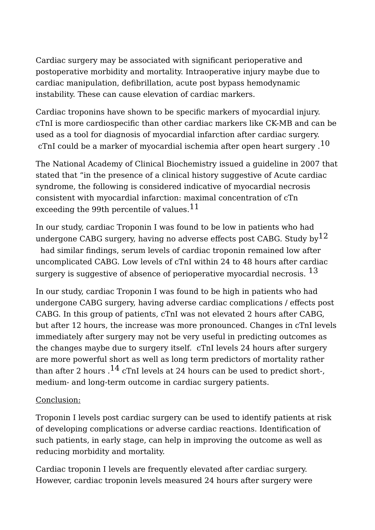Cardiac surgery may be associated with significant perioperative and postoperative morbidity and mortality. Intraoperative injury maybe due to cardiac manipulation, defibrillation, acute post bypass hemodynamic instability. These can cause elevation of cardiac markers.

Cardiac troponins have shown to be specific markers of myocardial injury. cTnI is more cardiospecific than other cardiac markers like CK-MB and can be used as a tool for diagnosis of myocardial infarction after cardiac surgery. cTnI could be a marker of myocardial ischemia after open heart surgery  $.^{10}$ 

The National Academy of Clinical Biochemistry issued a guideline in 2007 that stated that "in the presence of a clinical history suggestive of Acute cardiac syndrome, the following is considered indicative of myocardial necrosis consistent with myocardial infarction: maximal concentration of cTn exceeding the 99th percentile of values.<sup>11</sup>

In our study, cardiac Troponin I was found to be low in patients who had undergone CABG surgery, having no adverse effects post CABG. Study  $by^{12}$ 

had similar findings, serum levels of cardiac troponin remained low after uncomplicated CABG. Low levels of cTnI within 24 to 48 hours after cardiac surgery is suggestive of absence of perioperative myocardial necrosis. <sup>13</sup>

In our study, cardiac Troponin I was found to be high in patients who had undergone CABG surgery, having adverse cardiac complications / effects post CABG. In this group of patients, cTnI was not elevated 2 hours after CABG, but after 12 hours, the increase was more pronounced. Changes in cTnI levels immediately after surgery may not be very useful in predicting outcomes as the changes maybe due to surgery itself. cTnI levels 24 hours after surgery are more powerful short as well as long term predictors of mortality rather than after 2 hours  $.14$  cTnI levels at 24 hours can be used to predict short-, medium- and long-term outcome in cardiac surgery patients.

### Conclusion:

Troponin I levels post cardiac surgery can be used to identify patients at risk of developing complications or adverse cardiac reactions. Identification of such patients, in early stage, can help in improving the outcome as well as reducing morbidity and mortality.

Cardiac troponin I levels are frequently elevated after cardiac surgery. However, cardiac troponin levels measured 24 hours after surgery were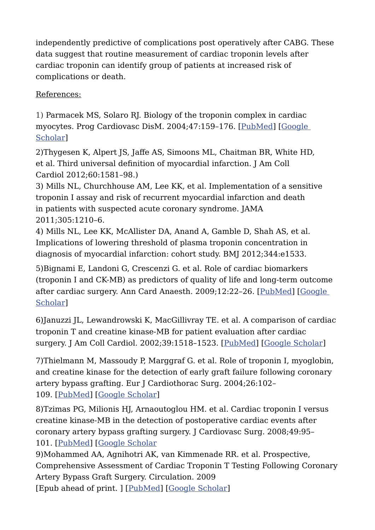independently predictive of complications post operatively after CABG. These data suggest that routine measurement of cardiac troponin levels after cardiac troponin can identify group of patients at increased risk of complications or death.

## References:

1) Parmacek MS, Solaro RJ. Biology of the troponin complex in cardiac myocytes. Prog Cardiovasc DisM. 2004;47:159–176. [\[PubMed\]](https://www.ncbi.nlm.nih.gov/pubmed/15736582) [\[Google](https://scholar.google.com/scholar_lookup?journal=Prog+Cardiovasc+DisM&title=Biology+of+the+troponin+complex+in+cardiac+myocytes.&author=MS+Parmacek&author=RJ+Solaro&volume=47&publication_year=2004&pages=159-176&)  [Scholar\]](https://scholar.google.com/scholar_lookup?journal=Prog+Cardiovasc+DisM&title=Biology+of+the+troponin+complex+in+cardiac+myocytes.&author=MS+Parmacek&author=RJ+Solaro&volume=47&publication_year=2004&pages=159-176&)

2)Thygesen K, Alpert JS, Jaffe AS, Simoons ML, Chaitman BR, White HD, et al. Third universal definition of myocardial infarction. J Am Coll Cardiol 2012;60:1581–98.)

3) Mills NL, Churchhouse AM, Lee KK, et al. Implementation of a sensitive troponin I assay and risk of recurrent myocardial infarction and death in patients with suspected acute coronary syndrome. JAMA 2011;305:1210–6.

4) Mills NL, Lee KK, McAllister DA, Anand A, Gamble D, Shah AS, et al. Implications of lowering threshold of plasma troponin concentration in diagnosis of myocardial infarction: cohort study. BMJ 2012;344:e1533.

5)Bignami E, Landoni G, Crescenzi G. et al. Role of cardiac biomarkers (troponin I and CK-MB) as predictors of quality of life and long-term outcome after cardiac surgery. Ann Card Anaesth. 2009;12:22–26. [\[PubMed\]](https://www.ncbi.nlm.nih.gov/pubmed/19136751) [\[Google](https://scholar.google.com/scholar_lookup?journal=Ann+Card+Anaesth&title=Role+of+cardiac+biomarkers+(troponin+I+and+CK-MB)+as+predictors+of+quality+of+life+and+long-term+outcome+after+cardiac+surgery.&author=E+Bignami&author=G+Landoni&author=G+Crescenzi&volume=12&publication_year=2009&pages=22-26&pmid=19136751&)  [Scholar\]](https://scholar.google.com/scholar_lookup?journal=Ann+Card+Anaesth&title=Role+of+cardiac+biomarkers+(troponin+I+and+CK-MB)+as+predictors+of+quality+of+life+and+long-term+outcome+after+cardiac+surgery.&author=E+Bignami&author=G+Landoni&author=G+Crescenzi&volume=12&publication_year=2009&pages=22-26&pmid=19136751&)

6)Januzzi JL, Lewandrowski K, MacGillivray TE. et al. A comparison of cardiac troponin T and creatine kinase-MB for patient evaluation after cardiac surgery. J Am Coll Cardiol. 2002;39:1518-1523. [\[PubMed\]](https://www.ncbi.nlm.nih.gov/pubmed/11985917) [\[Google Scholar\]](https://scholar.google.com/scholar_lookup?journal=J+Am+Coll+Cardiol&title=A+comparison+of+cardiac+troponin+T+and+creatine+kinase-MB+for+patient+evaluation+after+cardiac+surgery.&author=JL+Januzzi&author=K+Lewandrowski&author=TE+MacGillivray&volume=39&publication_year=2002&pages=1518-1523&pmid=11985917&)

7)Thielmann M, Massoudy P, Marggraf G. et al. Role of troponin I, myoglobin, and creatine kinase for the detection of early graft failure following coronary artery bypass grafting. Eur J Cardiothorac Surg. 2004;26:102– 109. [\[PubMed\]](https://www.ncbi.nlm.nih.gov/pubmed/15200987) [\[Google Scholar\]](https://scholar.google.com/scholar_lookup?journal=Eur+J+Cardiothorac+Surg&title=Role+of+troponin+I,+myoglobin,+and+creatine+kinase+for+the+detection+of+early+graft+failure+following+coronary+artery+bypass+grafting.&author=M+Thielmann&author=P+Massoudy&author=G+Marggraf&volume=26&publication_year=2004&pages=102-109&pmid=15200987&)

8)Tzimas PG, Milionis HJ, Arnaoutoglou HM. et al. Cardiac troponin I versus creatine kinase-MB in the detection of postoperative cardiac events after coronary artery bypass grafting surgery. J Cardiovasc Surg. 2008;49:95– 101. [\[PubMed\]](https://www.ncbi.nlm.nih.gov/pubmed/18212694) [\[Google Scholar](https://scholar.google.com/scholar_lookup?journal=J+Cardiovasc+Surg&title=Cardiac+troponin+I+versus+creatine+kinase-MB+in+the+detection+of+postoperative+cardiac+events+after+coronary+artery+bypass+grafting+surgery&author=PG+Tzimas&author=HJ+Milionis&author=HM+Arnaoutoglou&volume=49&publication_year=2008&pages=95-101&pmid=18212694&)

9)Mohammed AA, Agnihotri AK, van Kimmenade RR. et al. Prospective, Comprehensive Assessment of Cardiac Troponin T Testing Following Coronary Artery Bypass Graft Surgery. Circulation. 2009 [Epub ahead of print. ] [\[PubMed\]](https://www.ncbi.nlm.nih.gov/pubmed/19704098) [\[Google Scholar\]](https://scholar.google.com/scholar_lookup?journal=Circulation&title=Prospective,+Comprehensive+Assessment+of+Cardiac+Troponin+T+Testing+Following+Coronary+Artery+Bypass+Graft+Surgery.&author=AA+Mohammed&author=AK+Agnihotri&author=RR+van+Kimmenade&publication_year=2009&pmid=19704098&)